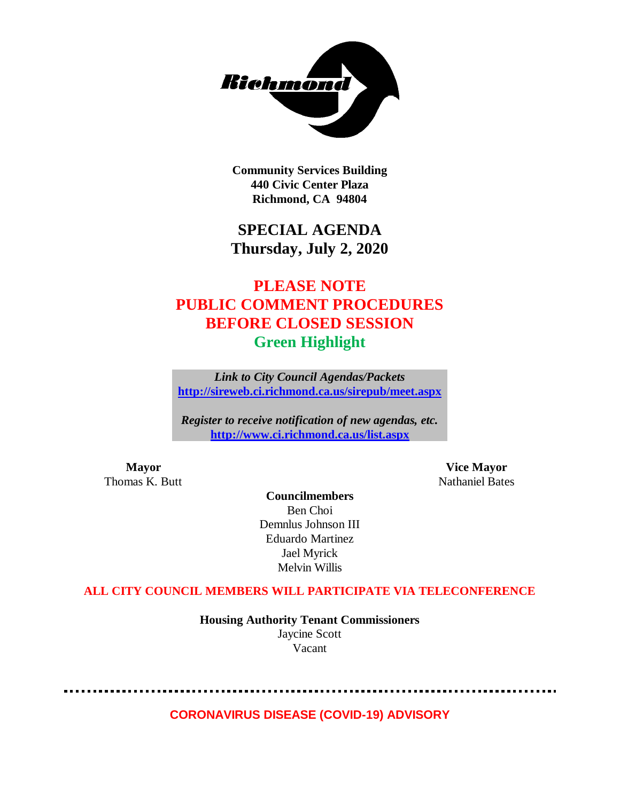

**Community Services Building 440 Civic Center Plaza Richmond, CA 94804**

## **SPECIAL AGENDA Thursday, July 2, 2020**

# **PLEASE NOTE PUBLIC COMMENT PROCEDURES BEFORE CLOSED SESSION Green Highlight**

*Link to City Council Agendas/Packets* **<http://sireweb.ci.richmond.ca.us/sirepub/meet.aspx>**

*Register to receive notification of new agendas, etc.* **<http://www.ci.richmond.ca.us/list.aspx>**

Thomas K. Butt Nathaniel Bates

**Mayor Vice Mayor**

**Councilmembers** Ben Choi Demnlus Johnson III Eduardo Martinez Jael Myrick Melvin Willis

### **ALL CITY COUNCIL MEMBERS WILL PARTICIPATE VIA TELECONFERENCE**

**Housing Authority Tenant Commissioners** Jaycine Scott Vacant

**CORONAVIRUS DISEASE (COVID-19) ADVISORY**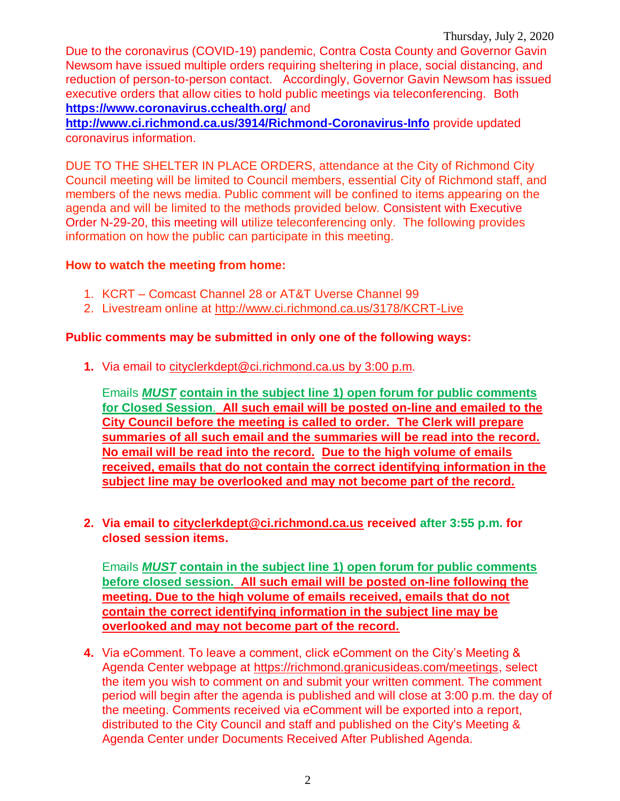Due to the coronavirus (COVID-19) pandemic, Contra Costa County and Governor Gavin Newsom have issued multiple orders requiring sheltering in place, social distancing, and reduction of person-to-person contact. Accordingly, Governor Gavin Newsom has issued executive orders that allow cities to hold public meetings via teleconferencing. Both **<https://www.coronavirus.cchealth.org/>** and

**<http://www.ci.richmond.ca.us/3914/Richmond-Coronavirus-Info>** provide updated coronavirus information.

DUE TO THE SHELTER IN PLACE ORDERS, attendance at the City of Richmond City Council meeting will be limited to Council members, essential City of Richmond staff, and members of the news media. Public comment will be confined to items appearing on the agenda and will be limited to the methods provided below. Consistent with Executive Order N-29-20, this meeting will utilize teleconferencing only. The following provides information on how the public can participate in this meeting.

### **How to watch the meeting from home:**

- 1. KCRT Comcast Channel 28 or AT&T Uverse Channel 99
- 2. Livestream online at<http://www.ci.richmond.ca.us/3178/KCRT-Live>

### **Public comments may be submitted in only one of the following ways:**

**1.** Via email to [cityclerkdept@ci.richmond.ca.us](mailto:cityclerkdept@ci.richmond.ca.us) by 3:00 p.m.

Emails *MUST* **contain in the subject line 1) open forum for public comments for Closed Session**. **All such email will be posted on-line and emailed to the City Council before the meeting is called to order. The Clerk will prepare summaries of all such email and the summaries will be read into the record. No email will be read into the record. Due to the high volume of emails received, emails that do not contain the correct identifying information in the subject line may be overlooked and may not become part of the record.**

**2. Via email to [cityclerkdept@ci.richmond.ca.us](mailto:cityclerkdept@ci.richmond.ca.us) received after 3:55 p.m. for closed session items.**

Emails *MUST* **contain in the subject line 1) open forum for public comments before closed session. All such email will be posted on-line following the meeting. Due to the high volume of emails received, emails that do not contain the correct identifying information in the subject line may be overlooked and may not become part of the record.**

**4.** Via eComment. To leave a comment, click eComment on the City's Meeting & Agenda Center webpage at [https://richmond.granicusideas.com/meetings,](https://richmond.granicusideas.com/meetings) select the item you wish to comment on and submit your written comment. The comment period will begin after the agenda is published and will close at 3:00 p.m. the day of the meeting. Comments received via eComment will be exported into a report, distributed to the City Council and staff and published on the City's Meeting & Agenda Center under Documents Received After Published Agenda.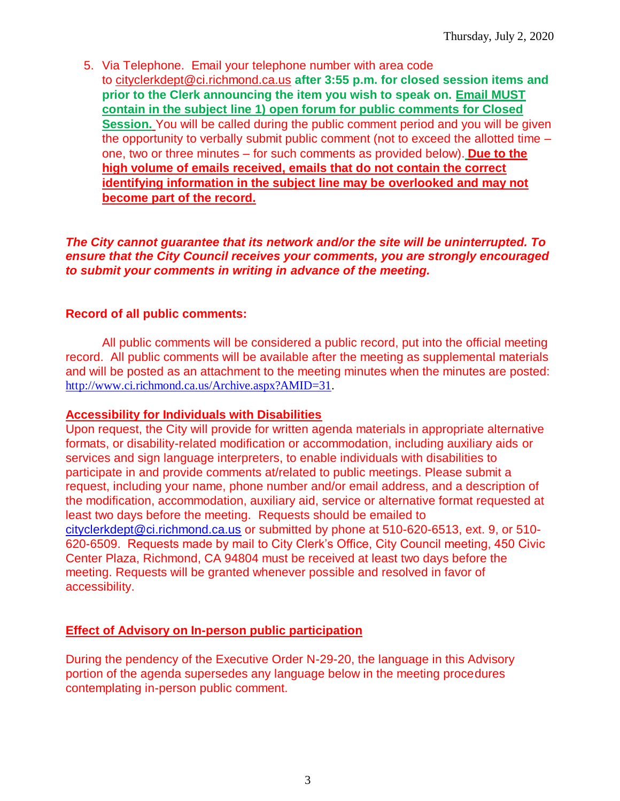5. Via Telephone. Email your telephone number with area code to [cityclerkdept@ci.richmond.ca.us](mailto:cityclerkdept@ci.richmond.ca.us) **after 3:55 p.m. for closed session items and prior to the Clerk announcing the item you wish to speak on. Email MUST contain in the subject line 1) open forum for public comments for Closed Session.** You will be called during the public comment period and you will be given the opportunity to verbally submit public comment (not to exceed the allotted time – one, two or three minutes – for such comments as provided below). **Due to the high volume of emails received, emails that do not contain the correct identifying information in the subject line may be overlooked and may not become part of the record.**

*The City cannot guarantee that its network and/or the site will be uninterrupted. To ensure that the City Council receives your comments, you are strongly encouraged to submit your comments in writing in advance of the meeting.*

### **Record of all public comments:**

All public comments will be considered a public record, put into the official meeting record. All public comments will be available after the meeting as supplemental materials and will be posted as an attachment to the meeting minutes when the minutes are posted: [http://www.ci.richmond.ca.us/Archive.aspx?AMID=31.](http://www.ci.richmond.ca.us/Archive.aspx?AMID=31)

### **Accessibility for Individuals with Disabilities**

Upon request, the City will provide for written agenda materials in appropriate alternative formats, or disability-related modification or accommodation, including auxiliary aids or services and sign language interpreters, to enable individuals with disabilities to participate in and provide comments at/related to public meetings. Please submit a request, including your name, phone number and/or email address, and a description of the modification, accommodation, auxiliary aid, service or alternative format requested at least two days before the meeting. Requests should be emailed to [cityclerkdept@ci.richmond.ca.us](mailto:cityclerkdept@ci.richmond.ca.us) or submitted by phone at 510-620-6513, ext. 9, or 510- 620-6509. Requests made by mail to City Clerk's Office, City Council meeting, 450 Civic Center Plaza, Richmond, CA 94804 must be received at least two days before the meeting. Requests will be granted whenever possible and resolved in favor of accessibility.

### **Effect of Advisory on In-person public participation**

During the pendency of the Executive Order N-29-20, the language in this Advisory portion of the agenda supersedes any language below in the meeting procedures contemplating in-person public comment.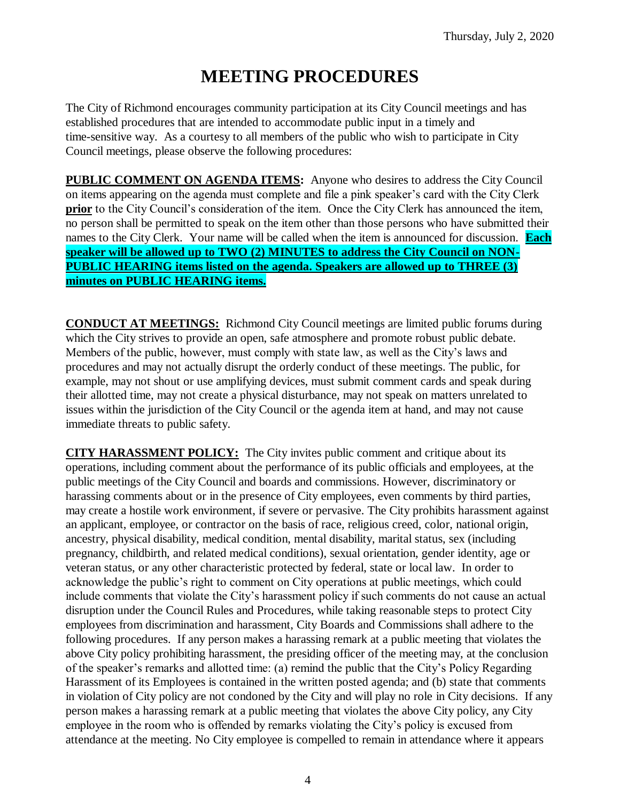# **MEETING PROCEDURES**

The City of Richmond encourages community participation at its City Council meetings and has established procedures that are intended to accommodate public input in a timely and time-sensitive way. As a courtesy to all members of the public who wish to participate in City Council meetings, please observe the following procedures:

**PUBLIC COMMENT ON AGENDA ITEMS:** Anyone who desires to address the City Council on items appearing on the agenda must complete and file a pink speaker's card with the City Clerk **prior** to the City Council's consideration of the item. Once the City Clerk has announced the item, no person shall be permitted to speak on the item other than those persons who have submitted their names to the City Clerk. Your name will be called when the item is announced for discussion. **Each speaker will be allowed up to TWO (2) MINUTES to address the City Council on NON-PUBLIC HEARING items listed on the agenda. Speakers are allowed up to THREE (3) minutes on PUBLIC HEARING items.**

**CONDUCT AT MEETINGS:** Richmond City Council meetings are limited public forums during which the City strives to provide an open, safe atmosphere and promote robust public debate. Members of the public, however, must comply with state law, as well as the City's laws and procedures and may not actually disrupt the orderly conduct of these meetings. The public, for example, may not shout or use amplifying devices, must submit comment cards and speak during their allotted time, may not create a physical disturbance, may not speak on matters unrelated to issues within the jurisdiction of the City Council or the agenda item at hand, and may not cause immediate threats to public safety.

**CITY HARASSMENT POLICY:** The City invites public comment and critique about its operations, including comment about the performance of its public officials and employees, at the public meetings of the City Council and boards and commissions. However, discriminatory or harassing comments about or in the presence of City employees, even comments by third parties, may create a hostile work environment, if severe or pervasive. The City prohibits harassment against an applicant, employee, or contractor on the basis of race, religious creed, color, national origin, ancestry, physical disability, medical condition, mental disability, marital status, sex (including pregnancy, childbirth, and related medical conditions), sexual orientation, gender identity, age or veteran status, or any other characteristic protected by federal, state or local law. In order to acknowledge the public's right to comment on City operations at public meetings, which could include comments that violate the City's harassment policy if such comments do not cause an actual disruption under the Council Rules and Procedures, while taking reasonable steps to protect City employees from discrimination and harassment, City Boards and Commissions shall adhere to the following procedures. If any person makes a harassing remark at a public meeting that violates the above City policy prohibiting harassment, the presiding officer of the meeting may, at the conclusion of the speaker's remarks and allotted time: (a) remind the public that the City's Policy Regarding Harassment of its Employees is contained in the written posted agenda; and (b) state that comments in violation of City policy are not condoned by the City and will play no role in City decisions. If any person makes a harassing remark at a public meeting that violates the above City policy, any City employee in the room who is offended by remarks violating the City's policy is excused from attendance at the meeting. No City employee is compelled to remain in attendance where it appears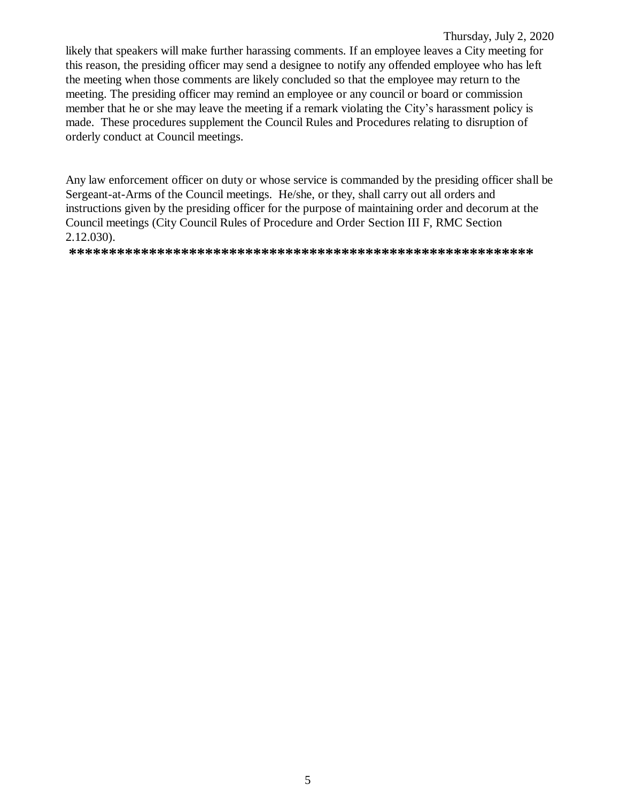Thursday, July 2, 2020 likely that speakers will make further harassing comments. If an employee leaves a City meeting for this reason, the presiding officer may send a designee to notify any offended employee who has left the meeting when those comments are likely concluded so that the employee may return to the

meeting. The presiding officer may remind an employee or any council or board or commission member that he or she may leave the meeting if a remark violating the City's harassment policy is made. These procedures supplement the Council Rules and Procedures relating to disruption of orderly conduct at Council meetings.

Any law enforcement officer on duty or whose service is commanded by the presiding officer shall be Sergeant-at-Arms of the Council meetings. He/she, or they, shall carry out all orders and instructions given by the presiding officer for the purpose of maintaining order and decorum at the Council meetings (City Council Rules of Procedure and Order Section III F, RMC Section  $2.12.030$ ).